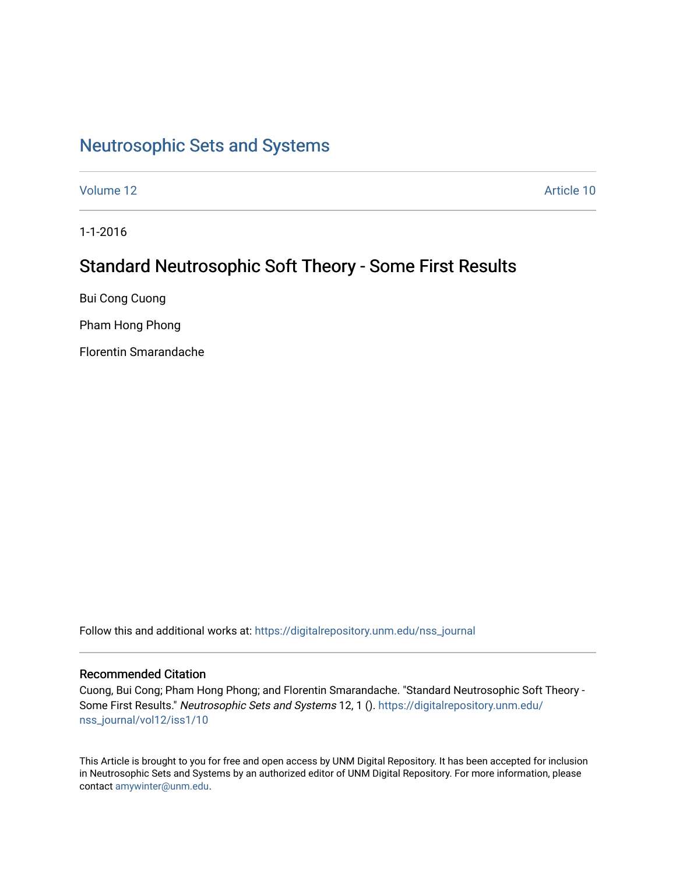# [Neutrosophic Sets and Systems](https://digitalrepository.unm.edu/nss_journal)

[Volume 12](https://digitalrepository.unm.edu/nss_journal/vol12) Article 10

1-1-2016

## Standard Neutrosophic Soft Theory - Some First Results

Bui Cong Cuong

Pham Hong Phong

Florentin Smarandache

Follow this and additional works at: [https://digitalrepository.unm.edu/nss\\_journal](https://digitalrepository.unm.edu/nss_journal?utm_source=digitalrepository.unm.edu%2Fnss_journal%2Fvol12%2Fiss1%2F10&utm_medium=PDF&utm_campaign=PDFCoverPages) 

## Recommended Citation

Cuong, Bui Cong; Pham Hong Phong; and Florentin Smarandache. "Standard Neutrosophic Soft Theory - Some First Results." Neutrosophic Sets and Systems 12, 1 (). [https://digitalrepository.unm.edu/](https://digitalrepository.unm.edu/nss_journal/vol12/iss1/10?utm_source=digitalrepository.unm.edu%2Fnss_journal%2Fvol12%2Fiss1%2F10&utm_medium=PDF&utm_campaign=PDFCoverPages) [nss\\_journal/vol12/iss1/10](https://digitalrepository.unm.edu/nss_journal/vol12/iss1/10?utm_source=digitalrepository.unm.edu%2Fnss_journal%2Fvol12%2Fiss1%2F10&utm_medium=PDF&utm_campaign=PDFCoverPages) 

This Article is brought to you for free and open access by UNM Digital Repository. It has been accepted for inclusion in Neutrosophic Sets and Systems by an authorized editor of UNM Digital Repository. For more information, please contact [amywinter@unm.edu](mailto:amywinter@unm.edu).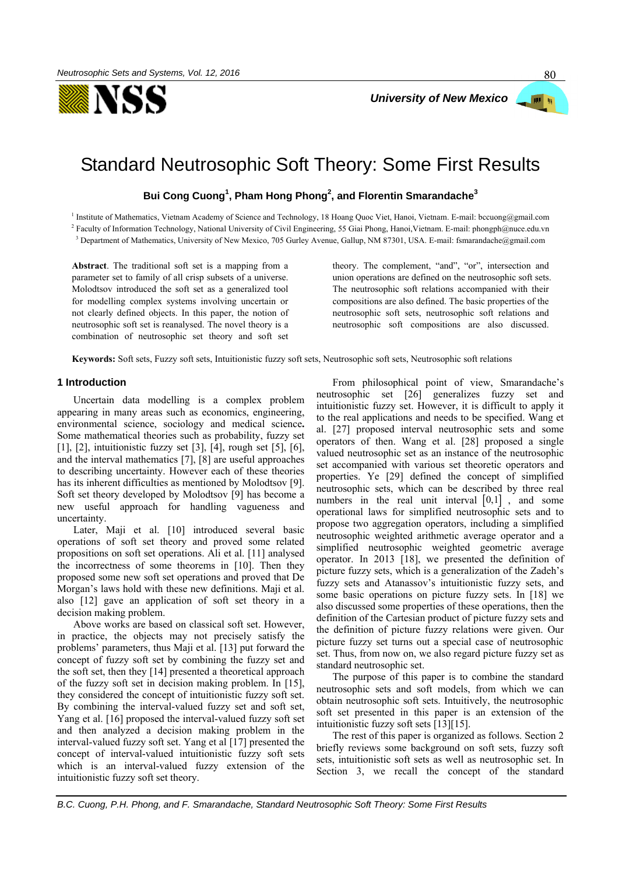

## Standard Neutrosophic Soft Theory: Some First Results

**Bui Cong Cuong<sup>1</sup> , Pham Hong Phong<sup>2</sup> , and Florentin Smarandache<sup>3</sup>**

<sup>1</sup> Institute of Mathematics, Vietnam Academy of Science and Technology, 18 Hoang Quoc Viet, Hanoi, Vietnam. E-mail: bccuong@gmail.com

<sup>2</sup> Faculty of Information Technology, National University of Civil Engineering, 55 Giai Phong, Hanoi,Vietnam. E-mail: phongph@nuce.edu.vn

<sup>3</sup> Department of Mathematics, University of New Mexico, 705 Gurley Avenue, Gallup, NM 87301, USA. E-mail: fsmarandache@gmail.com

**Abstract**. The traditional soft set is a mapping from a parameter set to family of all crisp subsets of a universe. Molodtsov introduced the soft set as a generalized tool for modelling complex systems involving uncertain or not clearly defined objects. In this paper, the notion of neutrosophic soft set is reanalysed. The novel theory is a combination of neutrosophic set theory and soft set theory. The complement, "and", "or", intersection and union operations are defined on the neutrosophic soft sets. The neutrosophic soft relations accompanied with their compositions are also defined. The basic properties of the neutrosophic soft sets, neutrosophic soft relations and neutrosophic soft compositions are also discussed.

**Keywords:** Soft sets, Fuzzy soft sets, Intuitionistic fuzzy soft sets, Neutrosophic soft sets, Neutrosophic soft relations

#### **1 Introduction**

Uncertain data modelling is a complex problem appearing in many areas such as economics, engineering, environmental science, sociology and medical science**.** Some mathematical theories such as probability, fuzzy set [\[1\],](#page-12-0) [\[2\],](#page-12-1) intuitionistic fuzzy set [\[3\],](#page-12-2) [\[4\],](#page-12-3) rough set [\[5\],](#page-12-4) [\[6\],](#page-12-5) and the interval mathematics [\[7\],](#page-12-6) [\[8\]](#page-12-7) are useful approaches to describing uncertainty. However each of these theories has its inherent difficulties as mentioned by Molodtsov [\[9\].](#page-12-8) Soft set theory developed by Molodtsov [\[9\]](#page-12-8) has become a new useful approach for handling vagueness and uncertainty.

Later, Maji et al. [\[10\]](#page-12-9) introduced several basic operations of soft set theory and proved some related propositions on soft set operations. Ali et al. [\[11\]](#page-12-10) analysed the incorrectness of some theorems in [\[10\].](#page-12-9) Then they proposed some new soft set operations and proved that De Morgan's laws hold with these new definitions. Maji et al. also [\[12\]](#page-12-11) gave an application of soft set theory in a decision making problem.

Above works are based on classical soft set. However, in practice, the objects may not precisely satisfy the problems' parameters, thus Maji et al. [\[13\]](#page-12-12) put forward the concept of fuzzy soft set by combining the fuzzy set and the soft set, then they [\[14\]](#page-12-13) presented a theoretical approach of the fuzzy soft set in decision making problem. In [\[15\],](#page-12-14) they considered the concept of intuitionistic fuzzy soft set. By combining the interval-valued fuzzy set and soft set, Yang et al. [\[16\]](#page-12-15) proposed the interval-valued fuzzy soft set and then analyzed a decision making problem in the interval-valued fuzzy soft set. Yang et a[l \[17\]](#page-12-16) presented the concept of interval-valued intuitionistic fuzzy soft sets which is an interval-valued fuzzy extension of the intuitionistic fuzzy soft set theory.

From philosophical point of view, Smarandache's neutrosophic set [\[26\]](#page-12-17) generalizes fuzzy set and intuitionistic fuzzy set. However, it is difficult to apply it to the real applications and needs to be specified. Wang et al. [\[27\]](#page-12-18) proposed interval neutrosophic sets and some operators of then. Wang et al. [\[28\]](#page-12-19) proposed a single valued neutrosophic set as an instance of the neutrosophic set accompanied with various set theoretic operators and properties. Ye [\[29\]](#page-12-20) defined the concept of simplified neutrosophic sets, which can be described by three real numbers in the real unit interval  $[0,1]$ , and some operational laws for simplified neutrosophic sets and to propose two aggregation operators, including a simplified neutrosophic weighted arithmetic average operator and a simplified neutrosophic weighted geometric average operator. In 2013 [\[18\],](#page-12-21) we presented the definition of picture fuzzy sets, which is a generalization of the Zadeh's fuzzy sets and Atanassov's intuitionistic fuzzy sets, and some basic operations on picture fuzzy sets. In [\[18\]](#page-12-21) we also discussed some properties of these operations, then the definition of the Cartesian product of picture fuzzy sets and the definition of picture fuzzy relations were given. Our picture fuzzy set turns out a special case of neutrosophic set. Thus, from now on, we also regard picture fuzzy set as standard neutrosophic set.

The purpose of this paper is to combine the standard neutrosophic sets and soft models, from which we can obtain neutrosophic soft sets. Intuitively, the neutrosophic soft set presented in this paper is an extension of the intuitionistic fuzzy soft sets [\[13\]\[15\].](#page-12-12)

The rest of this paper is organized as follows. Section 2 briefly reviews some background on soft sets, fuzzy soft sets, intuitionistic soft sets as well as neutrosophic set. In Section 3, we recall the concept of the standard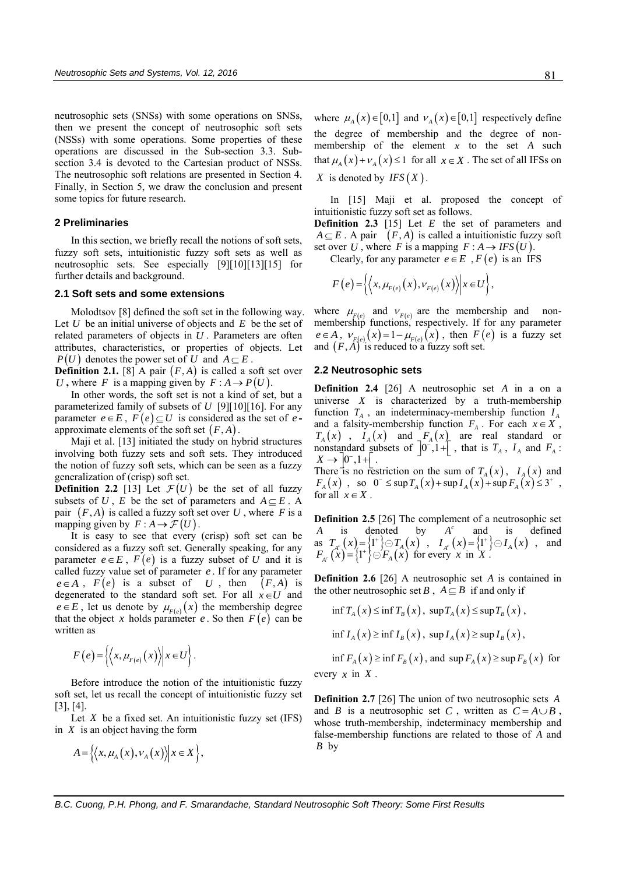neutrosophic sets (SNSs) with some operations on SNSs, then we present the concept of neutrosophic soft sets (NSSs) with some operations. Some properties of these operations are discussed in the Sub-section 3.3. Subsection 3.4 is devoted to the Cartesian product of NSSs. The neutrosophic soft relations are presented in Section 4. Finally, in Section 5, we draw the conclusion and present some topics for future research.

## **2 Preliminaries**

In this section, we briefly recall the notions of soft sets, fuzzy soft sets, intuitionistic fuzzy soft sets as well as neutrosophic sets. See especially [\[9\]\[10\]](#page-12-8)[\[13\]\[15\]](#page-12-12) for further details and background.

#### **2.1 Soft sets and some extensions**

Molodtsov [\[8\]](#page-12-22) defined the soft set in the following way. Let  $U$  be an initial universe of objects and  $E$  be the set of related parameters of objects in *U* . Parameters are often attributes, characteristics, or properties of objects. Let  $P(U)$  denotes the power set of U and  $A \subseteq E$ .

**Definition 2.1.** [\[8\]](#page-12-22) A pair  $(F, A)$  is called a soft set over U, where F is a mapping given by  $F : A \rightarrow P(U)$ .

In other words, the soft set is not a kind of set, but a parameterized family of subsets of *U* [\[9\]\[10\]](#page-12-8)[\[16\].](#page-12-15) For any parameter  $e \in E$ ,  $F(e) \subseteq U$  is considered as the set of eapproximate elements of the soft set  $(F, A)$ .

Maji et al. [\[13\]](#page-12-12) initiated the study on hybrid structures involving both fuzzy sets and soft sets. They introduced the notion of fuzzy soft sets, which can be seen as a fuzzy generalization of (crisp) soft set.

**Definition 2.2** [\[13\]](#page-12-12) Let  $\mathcal{F}(U)$  be the set of all fuzzy subsets of U, E be the set of parameters and  $A \subseteq E$ . A pair  $(F, A)$  is called a fuzzy soft set over U, where F is a mapping given by  $F : A \to \mathcal{F}(U)$ .

It is easy to see that every (crisp) soft set can be considered as a fuzzy soft set. Generally speaking, for any parameter  $e \in E$ ,  $F(e)$  is a fuzzy subset of U and it is called fuzzy value set of parameter *e* . If for any parameter  $e \in A$ ,  $F(e)$  is a subset of U, then  $(F, A)$  is degenerated to the standard soft set. For all  $x \in U$  and  $e \in E$ , let us denote by  $\mu_{F(e)}(x)$  the membership degree that the object x holds parameter  $e$ . So then  $F(e)$  can be written as

$$
F(e) = \left\langle \left\langle x, \mu_{F(e)}(x) \right\rangle \middle| x \in U \right\rangle.
$$

Before introduce the notion of the intuitionistic fuzzy soft set, let us recall the concept of intuitionistic fuzzy set [\[3\],](#page-12-2) [\[4\].](#page-12-3)

Let *X* be a fixed set. An intuitionistic fuzzy set (IFS) in *X* is an object having the form

$$
A = \left\{ \left\langle x, \mu_A(x), \nu_A(x) \right\rangle \middle| x \in X \right\},\
$$

where  $\mu_A(x) \in [0,1]$  and  $\nu_A(x) \in [0,1]$  respectively define the degree of membership and the degree of nonmembership of the element  $x$  to the set  $A$  such that  $\mu_A(x) + \nu_A(x) \le 1$  for all  $x \in X$ . The set of all IFSs on *X* is denoted by  $IFS(X)$ .

In [\[15\]](#page-12-14) Maji et al. proposed the concept of intuitionistic fuzzy soft set as follows.

**Definition 2.3** [\[15\]](#page-12-14) Let *E* the set of parameters and  $A \subseteq E$ . A pair  $(F, A)$  is called a intuitionistic fuzzy soft set over U, where F is a mapping  $F : A \rightarrow IFS(U)$ .

Clearly, for any parameter  $e \in E$ ,  $F(e)$  is an IFS

$$
F(e) = \left\langle \left\langle x, \mu_{F(e)}(x), v_{F(e)}(x) \right\rangle \middle| x \in U \right\rangle,
$$

where  $\mu_{F(e)}$  and  $v_{F(e)}$  are the membership and nonmembership functions, respectively. If for any parameter  $e \in A$ ,  $V_{F(e)}(x) = 1 - \mu_{F(e)}(x)$ , then  $F(e)$  is a fuzzy set and  $(F, A)$  is reduced to a fuzzy soft set.

## **2.2 Neutrosophic sets**

**Definition 2.4** [\[26\]](#page-12-17) A neutrosophic set *A* in a on a universe  $X$  is characterized by a truth-membership function  $T_A$ , an indeterminacy-membership function  $I_A$ and a falsity-membership function  $F_A$ . For each  $x \in X$ ,  $T_A(x)$ ,  $I_A(x)$  and  $F_A(x)$  are real standard or nonstandard subsets of  $\left[0^{-},1+\right]$ , that is  $T_A$ ,  $I_A$  and  $F_A$ :  $X \rightarrow 0^{-}, 1 + \left[ . \right]$ 

There is no restriction on the sum of  $T_A(x)$ ,  $I_A(x)$  and There is no restriction on the sum of  $T_A(x)$ ,  $I_A(x)$  and<br>  $F_A(x)$ , so  $0^- \le \sup T_A(x) + \sup I_A(x) + \sup F_A(x) \le 3^+$ , for all  $x \in X$ .

**Definition 2.5** [\[26\]](#page-12-17) The complement of a neutrosophic set  $A$  is defined by  $A<sup>c</sup>$  and is defined *A* is denoted by *c A* and is defined A is denoted by A and is defined<br>
as  $T_{A^c}(x) = \{1^+\}\ominus T_A(x)$ ,  $I_{A^c}(x) = \{1^+\}\ominus I_A(x)$ , and<br>  $F_{A^c}(x) = \{1^+\}\ominus F_A(x)$  for every x in X.

**Definition 2.6** [\[26\]](#page-12-17) A neutrosophic set A is contained in the other neutrosophic set B,  $A \subseteq B$  if and only if

$$
\inf T_A(x) \le \inf T_B(x), \sup T_A(x) \le \sup T_B(x),
$$
  

$$
\inf I_A(x) \ge \inf I_B(x), \sup I_A(x) \ge \sup I_B(x),
$$
  

$$
\inf F_A(x) \ge \inf F_B(x), \text{ and } \sup F_A(x) \ge \sup F_B(x) \text{ for }
$$

every  $x$  in  $X$ .

**Definition 2.7** [\[26\]](#page-12-17) The union of two neutrosophic sets *A* and *B* is a neutrosophic set *C*, written as  $C = A \cup B$ , whose truth-membership, indeterminacy membership and false-membership functions are related to those of A and *B* by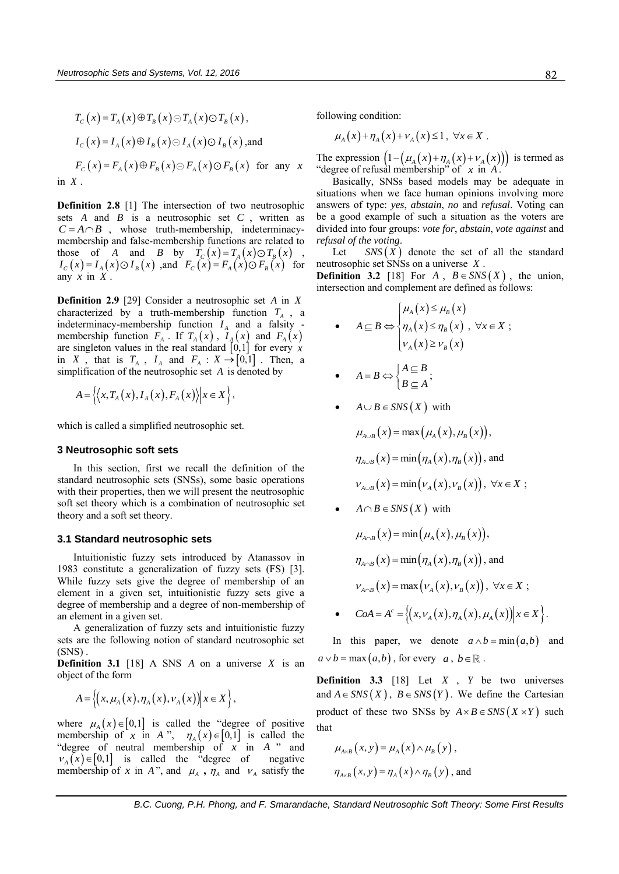$$
T_C(x) = T_A(x) \oplus T_B(x) \oplus T_A(x) \oplus T_B(x),
$$
  
\n
$$
I_C(x) = I_A(x) \oplus I_B(x) \oplus I_A(x) \oplus I_B(x),
$$
 and  
\n
$$
F_C(x) = F_A(x) \oplus F_B(x) \oplus F_A(x) \oplus F_B(x)
$$
 for any  
\nin X.

**Definition 2.8** [1] The intersection of two neutrosophic sets  $A$  and  $B$  is a neutrosophic set  $C$ , written as  $C = A \cap B$ , whose truth-membership, indeterminacymembership and false-membership functions are related to those of *A* and *B* by  $T_c(x) = T_A(x) \odot T_B(x)$ ,<br>  $I_c(x) = I_A(x) \odot I_B(x)$ , and  $F_c(x) = F_A(x) \odot F_B(x)$  for any  $x$  in  $X$ .

**Definition 2.9** [\[29\]](#page-12-20) Consider a neutrosophic set *A* in *X* characterized by a truth-membership function  $T_A$ , a indeterminacy-membership function  $I_A$  and a falsity membership function  $F_A$ . If  $T_A(x)$ ,  $I_A(x)$  and  $F_A(x)$ are singleton values in the real standard  $[0,1]$  for every x in X, that is  $T_A$ ,  $I_A$  and  $F_A$ :  $X \rightarrow [0,1]$ . Then, a simplification of the neutrosophic set *A* is denoted by

$$
A = \Big\{ \Big\langle x, T_A(x), I_A(x), F_A(x) \Big\rangle \Big| x \in X \Big\},\
$$

which is called a simplified neutrosophic set.

#### **3 Neutrosophic soft sets**

In this section, first we recall the definition of the standard neutrosophic sets (SNSs), some basic operations with their properties, then we will present the neutrosophic soft set theory which is a combination of neutrosophic set theory and a soft set theory.

#### **3.1 Standard neutrosophic sets**

Intuitionistic fuzzy sets introduced by Atanassov in 1983 constitute a generalization of fuzzy sets (FS) [\[3\].](#page-12-2) While fuzzy sets give the degree of membership of an element in a given set, intuitionistic fuzzy sets give a degree of membership and a degree of non-membership of an element in a given set.

A generalization of fuzzy sets and intuitionistic fuzzy sets are the following notion of standard neutrosophic set  $(SNS)$ .

**Definition 3.1** [\[18\]](#page-12-21) A SNS  $\vec{A}$  on a universe  $\vec{X}$  is an object of the form

 $A = \left\{ (x, \mu_A(x), \eta_A(x), \nu_A(x)) | x \in X \right\},$ 

where  $\mu_A(x) \in [0,1]$  is called the "degree of positive" membership of x in A<sup>2</sup>,  $\eta_A(x) \in [0,1]$  is called the "degree of neutral membership of  $\overline{x}$  in  $\overline{A}$  " and  $v_A(x) \in [0,1]$  is called the "degree of negative" membership of x in A", and  $\mu_A$ ,  $\eta_A$  and  $\nu_A$  satisfy the

following condition:

*x*

 $\mu_{4}(x) + \eta_{4}(x) + \nu_{4}(x) \leq 1, \ \forall x \in X$ .

The expression  $\left(1 - \left(\mu_A(x) + \eta_A(x) + \nu_A(x)\right)\right)$  is termed as "degree of refusal membership" of *x* in *A* .

Basically, SNSs based models may be adequate in situations when we face human opinions involving more answers of type: *yes*, *abstain*, *no* and *refusal*. Voting can be a good example of such a situation as the voters are divided into four groups: *vote for*, *abstain*, *vote against* and *refusal of the voting*.

Let  $SNS(X)$  denote the set of all the standard neutrosophic set SNSs on a universe *X* .

**Definition 3.2** [\[18\]](#page-12-21) For  $A$ ,  $B \in SNS(X)$ , the union, intersection and complement are defined as follows:

• 
$$
A \subseteq B \Leftrightarrow \begin{cases} \mu_A(x) \le \mu_B(x) \\ \eta_A(x) \le \eta_B(x) \\ \nu_A(x) \ge \nu_B(x) \end{cases}
$$

• 
$$
A = B \Leftrightarrow \begin{cases} A \subseteq B \\ B \subseteq A \end{cases}
$$
;

• 
$$
A \cup B \in SNS(X)
$$
 with

$$
\mu_{A\cup B}(x) = \max(\mu_A(x), \mu_B(x)),
$$
  

$$
\eta_{A\cup B}(x) = \min(\eta_A(x), \eta_B(x)), \text{ and}
$$
  

$$
\nu_{A\cup B}(x) = \min(\nu_A(x), \nu_B(x)), \forall x \in X;
$$

•  $A \cap B \in SNS(X)$  with

$$
\mu_{A \cap B}(x) = \min(\mu_A(x), \mu_B(x)),
$$
  

$$
\eta_{A \cap B}(x) = \min(\eta_A(x), \eta_B(x)), \text{ and}
$$
  

$$
\nu_{A \cap B}(x) = \max(\nu_A(x), \nu_B(x)), \forall x \in X;
$$

•  $CoA = A^c = \{(x, v_A(x), v_B(x)), x \in X\}$ .<br>
•  $CoA = A^c = \{(x, v_A(x), \eta_A(x), \mu_A(x)) | x \in X\}$ .

In this paper, we denote  $a \wedge b = \min(a, b)$  and  $a \vee b = \max(a, b)$ , for every  $a, b \in \mathbb{R}$ .

**Definition 3.3** [\[18\]](#page-12-21) Let  $X$ ,  $Y$  be two universes and  $A \in SNS(X)$ ,  $B \in SNS(Y)$ . We define the Cartesian product of these two SNSs by  $A \times B \in SNS(X \times Y)$  such that

$$
\mu_{A\times B}(x, y) = \mu_A(x) \wedge \mu_B(y),
$$
  

$$
\eta_{A\times B}(x, y) = \eta_A(x) \wedge \eta_B(y), \text{ and}
$$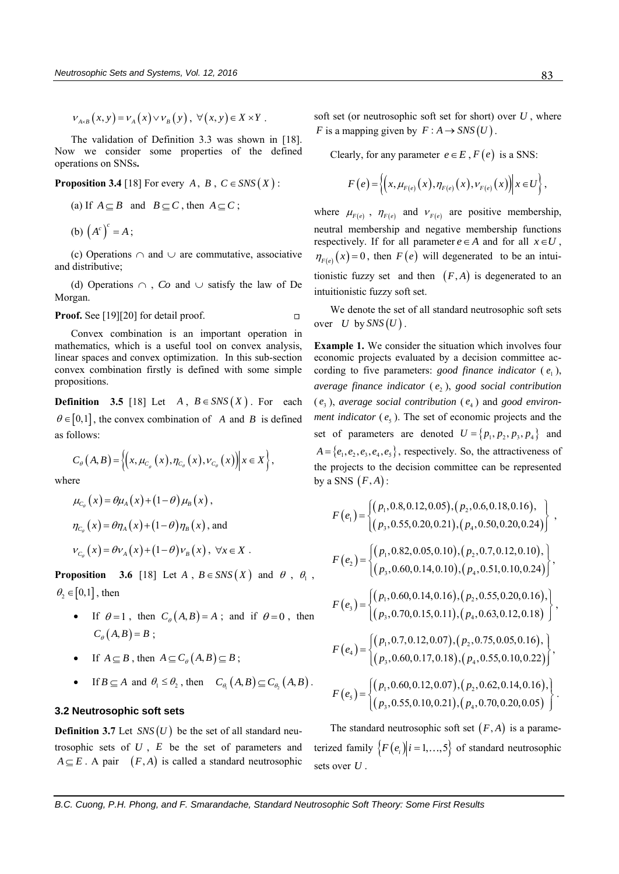$V_{A\times B}(x, y) = V_{A}(x) \vee V_{B}(y), \forall (x, y) \in X \times Y$ .

The validation of Definition 3.3 was shown in [\[18\].](#page-12-21)  Now we consider some properties of the defined operations on SNSs**.**

;

**Proposition 3.4** [\[18\] F](#page-12-21)or every  $A, B, C \in SNS(X)$ :

(a) If 
$$
A \subseteq B
$$
 and  $B \subseteq C$ , then  $A \subseteq C$ 

(b)  $(A^c)^c = A;$ 

(c) Operations  $\cap$  and  $\cup$  are commutative, associative and distributive;

(d) Operations  $\cap$ , *Co* and  $\cup$  satisfy the law of De Morgan.

Proof. Se[e \[19\]\[20\]](#page-12-23) for detail proof.  $\Box$ 

Convex combination is an important operation in mathematics, which is a useful tool on convex analysis, linear spaces and convex optimization. In this sub-section convex combination firstly is defined with some simple propositions.

**Definition** 3.5 [\[18\]](#page-12-21) Let  $A, B \in SNS(X)$ . For each  $\theta \in [0,1]$ , the convex combination of A and B is defined as follows:

$$
C_{\theta}\left(A,B\right) = \left\{ \left(x,\mu_{C_{\theta}}\left(x\right),\eta_{C_{\theta}}\left(x\right),\nu_{C_{\theta}}\left(x\right)\right) \middle| x \in X \right\},\
$$

where

$$
\mu_{C_{\theta}}(x) = \theta \mu_A(x) + (1 - \theta) \mu_B(x),
$$
  
\n
$$
\eta_{C_{\theta}}(x) = \theta \eta_A(x) + (1 - \theta) \eta_B(x),
$$
 and  
\n
$$
\nu_{C_{\theta}}(x) = \theta \nu_A(x) + (1 - \theta) \nu_B(x), \forall x \in X.
$$

**Proposition** 3.6 [\[18\]](#page-12-21) Let  $A$ ,  $B \in SNS(X)$  and  $\theta$ ,  $\theta_1$ ,  $\theta_2 \in [0,1]$ , then

- If  $\theta = 1$ , then  $C_{\theta}(A, B) = A$ ; and if  $\theta = 0$ , then  $C_{\theta}(A, B) = B;$
- If  $A \subseteq B$ , then  $A \subseteq C_{\theta}(A, B) \subseteq B$ ;
- If  $B \subseteq A$  and  $\theta_1 \leq \theta_2$ , then  $C_{\theta_1}(A, B) \subseteq C_{\theta_2}(A, B)$ .

## **3.2 Neutrosophic soft sets**

**Definition 3.7** Let  $SNS(U)$  be the set of all standard neutrosophic sets of  $U$ ,  $E$  be the set of parameters and  $A \subseteq E$ . A pair  $(F, A)$  is called a standard neutrosophic

soft set (or neutrosophic soft set for short) over *U* , where *F* is a mapping given by  $F : A \rightarrow SNS(U)$ .

Clearly, for any parameter  $e \in E$ ,  $F(e)$  is a SNS:

$$
F(e) = \left\{ \left( x, \mu_{F(e)}(x), \eta_{F(e)}(x), \nu_{F(e)}(x) \right) \middle| x \in U \right\},\
$$

where  $\mu_{F(e)}$ ,  $\eta_{F(e)}$  and  $v_{F(e)}$  are positive membership, neutral membership and negative membership functions respectively. If for all parameter  $e \in A$  and for all  $x \in U$ ,  $\eta_{F(e)}(x) = 0$ , then  $F(e)$  will degenerated to be an intuitionistic fuzzy set and then  $(F, A)$  is degenerated to an intuitionistic fuzzy soft set.

We denote the set of all standard neutrosophic soft sets over  $U$  by  $SNS(U)$ .

**Example 1.** We consider the situation which involves four economic projects evaluated by a decision committee according to five parameters: *good finance indicator* ( $e_1$ ), *average finance indicator* ( 2 *e* ), *good social contribution*  $(e_3)$ , *average social contribution*  $(e_4)$  and *good environment indicator* ( $e_5$ ). The set of economic projects and the set of parameters are denoted  $U = \{p_1, p_2, p_3, p_4\}$  and  $A = \{e_1, e_2, e_3, e_4, e_5\}$ , respectively. So, the attractiveness of the projects to the decision committee can be represented by a SNS  $(F, A)$ :

a SNS 
$$
(F, A)
$$
:  
\n
$$
F(e_1) = \begin{cases} (p_1, 0.8, 0.12, 0.05), (p_2, 0.6, 0.18, 0.16), \\ (p_3, 0.55, 0.20, 0.21), (p_4, 0.50, 0.20, 0.24) \end{cases},
$$
\n
$$
F(e_2) = \begin{cases} (p_1, 0.82, 0.05, 0.10), (p_2, 0.7, 0.12, 0.10), \\ (p_3, 0.60, 0.14, 0.10), (p_4, 0.51, 0.10, 0.24) \end{cases},
$$
\n
$$
F(e_3) = \begin{cases} (p_1, 0.60, 0.14, 0.16), (p_2, 0.55, 0.20, 0.16), \\ (p_3, 0.70, 0.15, 0.11), (p_4, 0.63, 0.12, 0.18) \end{cases},
$$
\n
$$
F(e_4) = \begin{cases} (p_1, 0.7, 0.12, 0.07), (p_2, 0.75, 0.05, 0.16), \\ (p_3, 0.60, 0.17, 0.18), (p_4, 0.55, 0.10, 0.22) \end{cases},
$$
\n
$$
F(e_5) = \begin{cases} (p_1, 0.60, 0.12, 0.07), (p_2, 0.62, 0.14, 0.16), \\ (p_3, 0.55, 0.10, 0.21), (p_4, 0.70, 0.20, 0.05) \end{cases}.
$$

The standard neutrosophic soft set  $(F, A)$  is a parameterized family  $\{F(e_i)|i=1,\ldots,5\}$  of standard neutrosophic sets over *U* .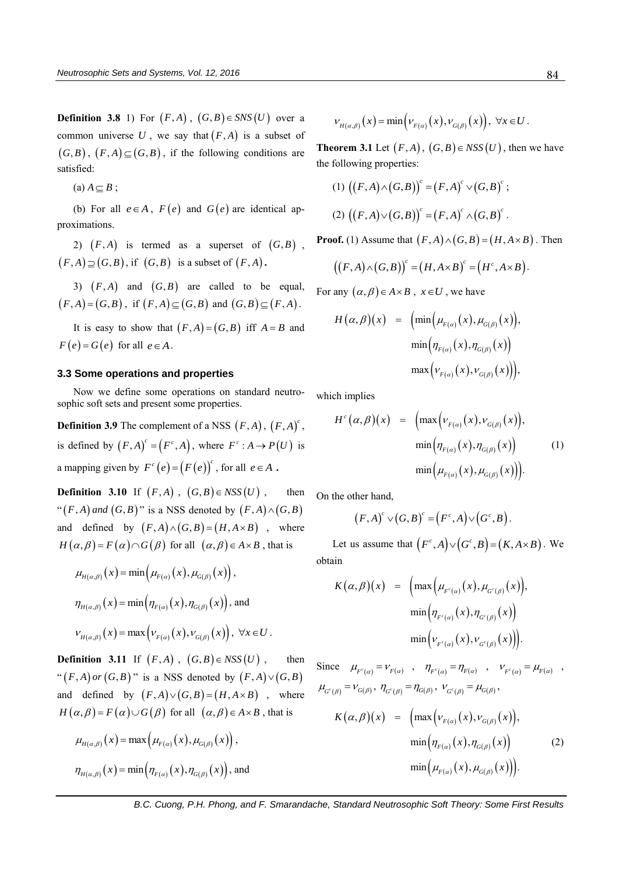**Definition 3.8** 1) For  $(F,A)$ ,  $(G,B) \in SNS(U)$  over a common universe U, we say that  $(F, A)$  is a subset of  $(G, B)$ ,  $(F, A) \subseteq (G, B)$ , if the following conditions are satisfied:

(a)  $A \subseteq B$ ;

(b) For all  $e \in A$ ,  $F(e)$  and  $G(e)$  are identical approximations.

2)  $(F, A)$  is termed as a superset of  $(G, B)$ ,  $(F, A) \supseteq (G, B)$ , if  $(G, B)$  is a subset of  $(F, A)$ .

3)  $(F, A)$  and  $(G, B)$  are called to be equal,  $(F, A) = (G, B)$ , if  $(F, A) \subseteq (G, B)$  and  $(G, B) \subseteq (F, A)$ .

It is easy to show that  $(F, A) = (G, B)$  iff  $A = B$  and  $F(e) = G(e)$  for all  $e \in A$ .

## **3.3 Some operations and properties**

Now we define some operations on standard neutrosophic soft sets and present some properties.

**Definition 3.9** The complement of a NSS  $(F, A)$ ,  $(F, A)^c$ , is defined by  $(F, A)^c = (F^c, A)$ , where  $F^c : A \to P(U)$  is a mapping given by  $F^c(e) = (F(e))^c$ , for all  $e \in A$ .

**Definition 3.10** If  $(F,A)$ ,  $(G,B) \in NSS(U)$ , , then " $(F, A)$  and  $(G, B)$ " is a NSS denoted by  $(F, A) \wedge (G, B)$ and defined by  $(F,A) \wedge (G,B) = (H, A \times B)$ , where  $H(\alpha, \beta) = F(\alpha) \cap G(\beta)$  for all  $(\alpha, \beta) \in A \times B$ , that is

$$
\mu_{H(\alpha,\beta)}(x) = \min(\mu_{F(\alpha)}(x), \mu_{G(\beta)}(x)),
$$
  

$$
\eta_{H(\alpha,\beta)}(x) = \min(\eta_{F(\alpha)}(x), \eta_{G(\beta)}(x)), \text{ and}
$$
  

$$
V_{H(\alpha,\beta)}(x) = \max(V_{F(\alpha)}(x), V_{G(\beta)}(x)), \forall x \in U.
$$

**Definition 3.11** If  $(F,A)$ ,  $(G,B) \in NSS(U)$ , , then " $(F,A)$  or  $(G,B)$ " is a NSS denoted by  $(F,A)\vee (G,B)$ and defined by  $(F,A)\vee (G,B)=(H,A\times B)$ , where  $H(\alpha, \beta) = F(\alpha) \cup G(\beta)$  for all  $(\alpha, \beta) \in A \times B$ , that is

$$
\mu_{H(\alpha,\beta)}(x) = \max(\mu_{F(\alpha)}(x), \mu_{G(\beta)}(x)),
$$
  

$$
\eta_{H(\alpha,\beta)}(x) = \min(\eta_{F(\alpha)}(x), \eta_{G(\beta)}(x)), \text{ and}
$$

$$
V_{H(\alpha,\beta)}(x) = \min(\nu_{F(\alpha)}(x), \nu_{G(\beta)}(x)), \ \forall x \in U.
$$

**Theorem 3.1** Let  $(F, A)$ ,  $(G, B) \in NSS(U)$ , then we have the following properties:

(1) 
$$
((F,A)\wedge (G,B))^c = (F,A)^c \vee (G,B)^c
$$
;  
\n(2)  $((F,A)\vee (G,B))^c = (F,A)^c \wedge (G,B)^c$ .

**Proof.** (1) Assume that  $(F, A) \wedge (G, B) = (H, A \times B)$ . Then

**of.** (1) Assume that 
$$
(F, A) \wedge (G, B) = (H, A \times B)
$$
. Then  

$$
((F, A) \wedge (G, B))^c = (H, A \times B)^c = (H^c, A \times B).
$$

For any  $(\alpha, \beta) \in A \times B$ ,  $x \in U$ , we have

$$
H(\alpha, \beta)(x) = \left(\min(\mu_{F(\alpha)}(x), \mu_{G(\beta)}(x)),\right.\n\min(\eta_{F(\alpha)}(x), \eta_{G(\beta)}(x))\n\max(\nu_{F(\alpha)}(x), \nu_{G(\beta)}(x))\right),
$$

which implies

$$
H^{c}(\alpha, \beta)(x) = \left( \max \left( v_{F(\alpha)}(x), v_{G(\beta)}(x) \right), \right. \n\min \left( \eta_{F(\alpha)}(x), \eta_{G(\beta)}(x) \right) \qquad (1) \n\min \left( \mu_{F(\alpha)}(x), \mu_{G(\beta)}(x) \right) \right).
$$

On the other hand,

her hand,  
\n
$$
(F,A)^c \vee (G,B)^c = (F^c,A) \vee (G^c,B).
$$

Let us assume that  $(F<sup>c</sup>, A) \vee (G<sup>c</sup>, B) = (K, A \times B)$ . We obtain

$$
K(\alpha, \beta)(x) = \left( \max \left( \mu_{F^c(\alpha)}(x), \mu_{G^c(\beta)}(x) \right), \right. \n\left. \min \left( \eta_{F^c(\alpha)}(x), \eta_{G^c(\beta)}(x) \right) \right. \n\left. \min \left( \nu_{F^c(\alpha)}(x), \nu_{G^c(\beta)}(x) \right) \right).
$$

Since  $\mu_{F^c(\alpha)} = v_{F(\alpha)} , \quad \eta_{F^c(\alpha)} = \eta_{F(\alpha)} , \quad v_{F^c(\alpha)} = \mu_{F(\alpha)} ,$  $\mu_{G^c(\beta)} = \nu_{G(\beta)}, \ \eta_{G^c(\beta)} = \eta_{G(\beta)}, \ \nu_{G^c(\beta)} = \mu_{G(\beta)},$ 

$$
K(\alpha, \beta)(x) = \left( \max \left( v_{F(\alpha)}(x), v_{G(\beta)}(x) \right), \right. \n\min \left( \eta_{F(\alpha)}(x), \eta_{G(\beta)}(x) \right) \right). \tag{2}
$$
\n
$$
\min \left( \mu_{F(\alpha)}(x), \mu_{G(\beta)}(x) \right).
$$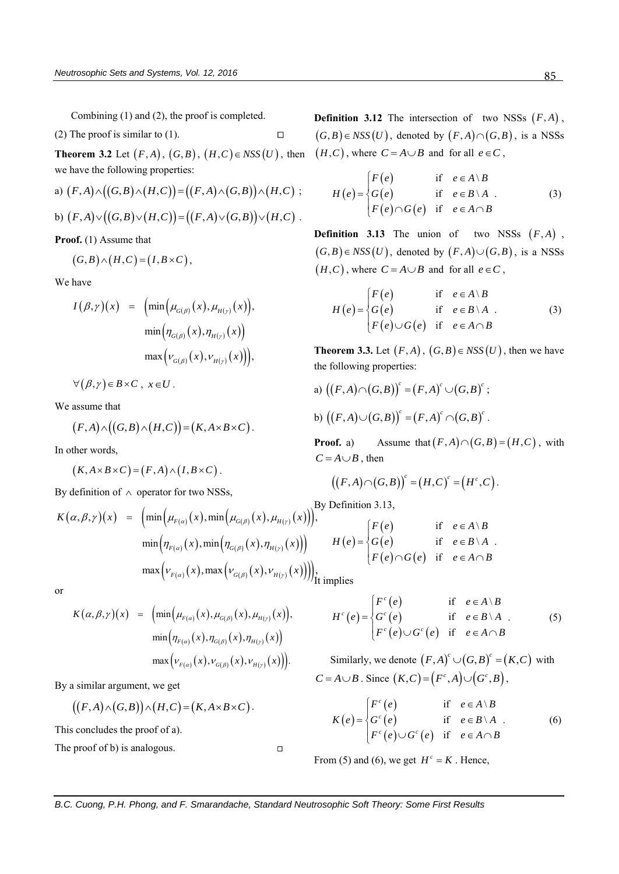Combining (1) and (2), the proof is completed.

(2) The proof is similar to (1). 
$$
\Box
$$

**Theorem 3.2** Let  $(F,A)$ ,  $(G,B)$ ,  $(H,C) \in NSS(U)$ , then

we have the following properties:  
\na) 
$$
(F,A) \land ((G,B) \land (H,C)) = ((F,A) \land (G,B)) \land (H,C)
$$
;  
\nb)  $(F,A) \lor ((G,B) \lor (H,C)) = ((F,A) \lor (G,B)) \lor (H,C)$ .

**Proof.** (1) Assume that

$$
(G,B)\wedge (H,C)=(I,B\times C),
$$

We have

have  
\n
$$
I(\beta, \gamma)(x) = \left( \min \left( \mu_{G(\beta)}(x), \mu_{H(\gamma)}(x) \right), \right. \n\left. \min \left( \eta_{G(\beta)}(x), \eta_{H(\gamma)}(x) \right) \right. \n\left. \max \left( v_{G(\beta)}(x), v_{H(\gamma)}(x) \right) \right),
$$

 $\forall (\beta, \gamma) \in B \times C$ ,  $x \in U$ .

We assume that

assume that  

$$
(F,A) \wedge ((G,B) \wedge (H,C)) = (K, A \times B \times C).
$$

In other words,

$$
(K, A \times B \times C) = (F, A) \wedge (I, B \times C).
$$

By definition of 
$$
\wedge
$$
 operator for two NSSs,  
\n
$$
K(\alpha, \beta, \gamma)(x) = \left(\min(\mu_{F(\alpha)}(x), \min(\mu_{G(\beta)}(x), \mu_{H(\gamma)}(x)))\right)^{\text{By Definition 3.13,}}
$$
\n
$$
\min(\eta_{F(\alpha)}(x), \min(\eta_{G(\beta)}(x), \eta_{H(\gamma)}(x))) \qquad H(e) = \begin{cases} F(e) \\ G(e) \\ F(e) \cap G(e) \end{cases}
$$
\n
$$
\max \left(\nu_{F(\alpha)}(x), \max \left(\nu_{G(\beta)}(x), \nu_{H(\gamma)}(x)\right) \right)\bigg|_{\text{It implies}}
$$

or

$$
K(\alpha, \beta, \gamma)(x) = \left( \min \Bigl( \mu_{F(\alpha)}(x), \mu_{G(\beta)}(x), \mu_{H(\gamma)}(x) \Bigr), \right. \n\min \Bigl( \eta_{F(\alpha)}(x), \eta_{G(\beta)}(x), \eta_{H(\gamma)}(x) \Bigr) \n\max \Bigl( \nu_{F(\alpha)}(x), \nu_{G(\beta)}(x), \nu_{H(\gamma)}(x) \Bigr) \Bigr).
$$

By a similar argument, we get  
\n
$$
((F,A)\wedge (G,B))\wedge (H,C)=(K,A\times B\times C).
$$

This concludes the proof of a).

The proof of b) is analogous.

**Definition 3.12** The intersection of two NSSs  $(F, A)$ ,  $(G, B) \in NSS(U)$ , denoted by  $(F, A) \cap (G, B)$ , is a NSSs  $(H, C)$ , where  $C = A \cup B$  and for all  $e \in C$ ,

$$
H(e) = \begin{cases} F(e) & \text{if } e \in A \setminus B \\ G(e) & \text{if } e \in B \setminus A \\ F(e) \cap G(e) & \text{if } e \in A \cap B \end{cases}
$$
 (3)

**Definition 3.13** The union of two NSSs  $(F, A)$ ,  $(G, B) \in NSS(U)$ , denoted by  $(F, A) \cup (G, B)$ , is a NSSs  $(H, C)$ , where  $C = A \cup B$  and for all  $e \in C$ ,

$$
H(e) = \begin{cases} F(e) & \text{if } e \in A \setminus B \\ G(e) & \text{if } e \in B \setminus A \\ F(e) \cup G(e) & \text{if } e \in A \cap B \end{cases}
$$
 (3)

**Theorem 3.3.** Let  $(F, A)$ ,  $(G, B) \in NSS(U)$ , then we have the following properties:

a) 
$$
((F,A)\cap (G,B))^c = (F,A)^c \cup (G,B)^c
$$
;  
b)  $((F,A)\cup (G,B))^c = (F,A)^c \cap (G,B)^c$ .

**Proof.** a) Assume that  $(F, A) \cap (G, B) = (H, C)$ , with  $C = A \cup B$ , then

$$
A \cup B
$$
, then  
\n $((F,A) \cap (G,B))^c = (H,C)^c = (H^c,C)$ .

By Definition 3.13,

$$
H(e) = \begin{cases} F(e) & \text{if } e \in A \setminus B \\ G(e) & \text{if } e \in B \setminus A \\ F(e) \cap G(e) & \text{if } e \in A \cap B \end{cases}
$$

$$
H^{c}(e) = \begin{cases} F^{c}(e) & \text{if } e \in A \setminus B \\ G^{c}(e) & \text{if } e \in B \setminus A \\ F^{c}(e) \cup G^{c}(e) & \text{if } e \in A \cap B \end{cases}
$$

Similarly, we denote  $(F, A)^c \cup (G, B)^c = (K, C)$  with *C* =  $A \cup B$ . Since  $(K, C) = (F<sup>c</sup>, A) \cup (G<sup>c</sup>, B)$ ,

$$
K(e) = \begin{cases} F^{c}(e) & \text{if } e \in A \setminus B \\ G^{c}(e) & \text{if } e \in B \setminus A \\ F^{c}(e) \cup G^{c}(e) & \text{if } e \in A \cap B \end{cases}
$$
(6)

From (5) and (6), we get  $H^c = K$ . Hence,

 $\Box$ 

 $(5)$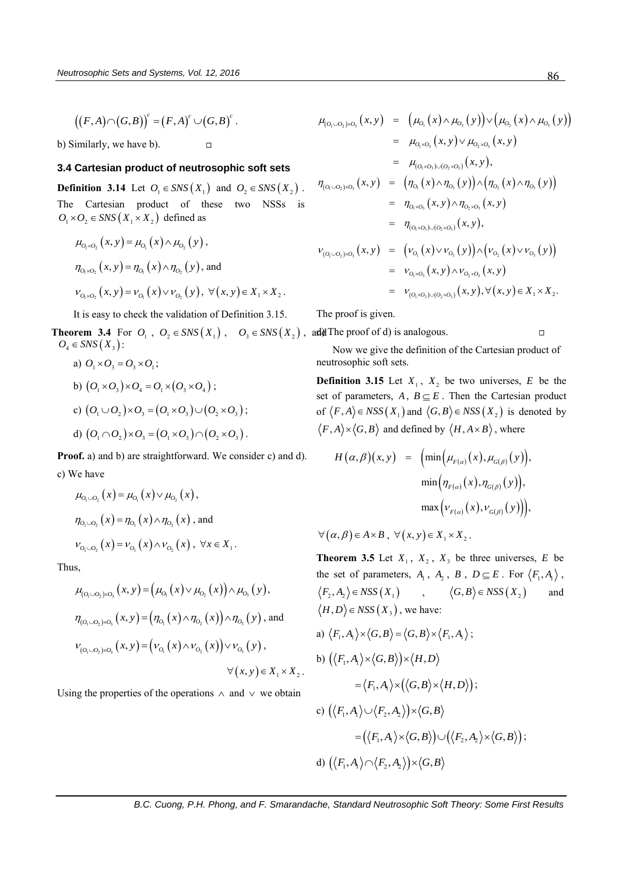$((F, A) \cap (G, B))^c = (F, A)^c \cup (G, B)^c$ .

b) Similarly, we have b).

## **3.4 Cartesian product of neutrosophic soft sets**

**Definition 3.14** Let  $O_1 \in SNS(X_1)$  and  $O_2 \in SNS(X_2)$ . The Cartesian product of these two NSSs is  $O_1 \times O_2 \in SNS(X_1 \times X_2)$  defined as

 $\Box$ 

$$
\mu_{O_1 \times O_2}(x, y) = \mu_{O_1}(x) \wedge \mu_{O_2}(y),
$$
  
\n
$$
\eta_{O_1 \times O_2}(x, y) = \eta_{O_1}(x) \wedge \eta_{O_2}(y),
$$
 and  
\n
$$
\nu_{O_1 \times O_2}(x, y) = \nu_{O_1}(x) \vee \nu_{O_2}(y), \forall (x, y) \in X_1 \times X_2.
$$

It is easy to check the validation of Definition 3.15.

**Theorem 3.4** For  $O_1$ ,  $O_2 \in SNS(X_1)$ ,  $O_3 \in SNS(X_2)$ , ,  $\text{add}$  The proof of d) is analogous.  $O_4 \in SNS(X_3)$ :

a) 
$$
O_1 \times O_3 = O_3 \times O_1
$$
;  
\nb)  $(O_1 \times O_3) \times O_4 = O_1 \times (O_3 \times O_4)$ ;  
\nc)  $(O_1 \cup O_2) \times O_3 = (O_1 \times O_3) \cup (O_2 \times O_3)$ ;  
\nd)  $(O_1 \cap O_2) \times O_3 = (O_1 \times O_3) \cap (O_2 \times O_3)$ .

**Proof.** a) and b) are straightforward. We consider c) and d). c) We have

$$
\mu_{O_1 \cup O_2}(x) = \mu_{O_1}(x) \vee \mu_{O_2}(x),
$$
  
\n
$$
\eta_{O_1 \cup O_2}(x) = \eta_{O_1}(x) \wedge \eta_{O_2}(x),
$$
 and  
\n
$$
\nu_{O_1 \cup O_2}(x) = \nu_{O_1}(x) \wedge \nu_{O_2}(x), \forall x \in X_1.
$$

Thus,

s,  
\n
$$
\mu_{(O_1 \cup O_2) \times O_3}(x, y) = (\mu_{O_1}(x) \vee \mu_{O_2}(x)) \wedge \mu_{O_3}(y),
$$
\n
$$
\eta_{(O_1 \cup O_2) \times O_3}(x, y) = (\eta_{O_1}(x) \wedge \eta_{O_2}(x)) \wedge \eta_{O_3}(y),
$$
 and\n
$$
\nu_{(O_1 \cup O_2) \times O_3}(x, y) = (\nu_{O_1}(x) \wedge \nu_{O_2}(x)) \vee \nu_{O_3}(y),
$$
\n
$$
\forall (x, y) \in X_1 \times X_2.
$$

Using the properties of the operations  $\wedge$  and  $\vee$  we obtain

$$
\mu_{(O_1 \cup O_2) \times O_3}(x, y) = (\mu_{O_1}(x) \wedge \mu_{O_3}(y)) \vee (\mu_{O_2}(x) \wedge \mu_{O_3}(y))
$$
\n
$$
= \mu_{O_1 \times O_3}(x, y) \vee \mu_{O_2 \times O_3}(x, y)
$$
\n
$$
= \mu_{(O_1 \times O_3) \cup (O_2 \times O_3)}(x, y),
$$
\n
$$
\eta_{(O_1 \cup O_2) \times O_3}(x, y) = (\eta_{O_1}(x) \wedge \eta_{O_3}(y)) \wedge (\eta_{O_2}(x) \wedge \eta_{O_3}(y))
$$
\n
$$
= \eta_{O_1 \times O_3}(x, y) \wedge \eta_{O_2 \times O_3}(x, y)
$$
\n
$$
= \eta_{(O_1 \times O_3) \cup (O_2 \times O_3)}(x, y),
$$
\n
$$
\nu_{(O_1 \cup O_2) \times O_3}(x, y) = (\nu_{O_1}(x) \vee \nu_{O_3}(y)) \wedge (\nu_{O_2}(x) \vee \nu_{O_3}(y))
$$
\n
$$
= \nu_{O_1 \times O_3}(x, y) \wedge \nu_{O_2 \times O_3}(x, y)
$$
\n
$$
= \nu_{(O_1 \times O_3) \cup (O_2 \times O_3)}(x, y), \forall (x, y) \in X_1 \times X_2.
$$

The proof is given.

 $\Box$ 

Now we give the definition of the Cartesian product of neutrosophic soft sets.

**Definition 3.15** Let  $X_1$ ,  $X_2$  be two universes, E be the set of parameters,  $A, B \subseteq E$ . Then the Cartesian product of  $\langle F, A \rangle \in NSS(X_1)$  and  $\langle G, B \rangle \in NSS(X_2)$  is denoted by

$$
F, A\rangle \times \langle G, B \rangle \text{ and defined by } \langle H, A \times B \rangle, \text{ where}
$$

$$
H(\alpha, \beta)(x, y) = \left( \min \left( \mu_{F(\alpha)}(x), \mu_{G(\beta)}(y) \right), \right. \\
\left. \min \left( \eta_{F(\alpha)}(x), \eta_{G(\beta)}(y) \right), \right. \\
\left. \max \left( v_{F(\alpha)}(x), v_{G(\beta)}(y) \right) \right),
$$

 $\forall (\alpha, \beta) \in A \times B$ ,  $\forall (x, y) \in X_1 \times X_2$ .

**Theorem 3.5** Let  $X_1$ ,  $X_2$ ,  $X_3$  be three universes,  $E$  be the set of parameters,  $A_1$ ,  $A_2$ ,  $B$ ,  $D \subseteq E$ . For  $\langle F_1, A_1 \rangle$ ,  $\langle F_2, A_2 \rangle \in NSS(X_1)$ ,  $\langle G, B \rangle \in NSS(X_2)$ and  $H, D \rangle \in NSS(X_3)$ , we have:

a) 
$$
\langle F_1, A_1 \rangle \times \langle G, B \rangle = \langle G, B \rangle \times \langle F_1, A_1 \rangle
$$
;  
\nb)  $(\langle F_1, A_1 \rangle \times \langle G, B \rangle) \times \langle H, D \rangle$   
\t $= \langle F_1, A_1 \rangle \times (\langle G, B \rangle \times \langle H, D \rangle)$ ;  
\nc)  $(\langle F_1, A_1 \rangle \cup \langle F_2, A_2 \rangle) \times \langle G, B \rangle$   
\t $= (\langle F_1, A_1 \rangle \times \langle G, B \rangle) \cup (\langle F_2, A_2 \rangle \times \langle G, B \rangle)$ ;  
\nd)  $(\langle F_1, A_1 \rangle \cap \langle F_2, A_2 \rangle) \times \langle G, B \rangle$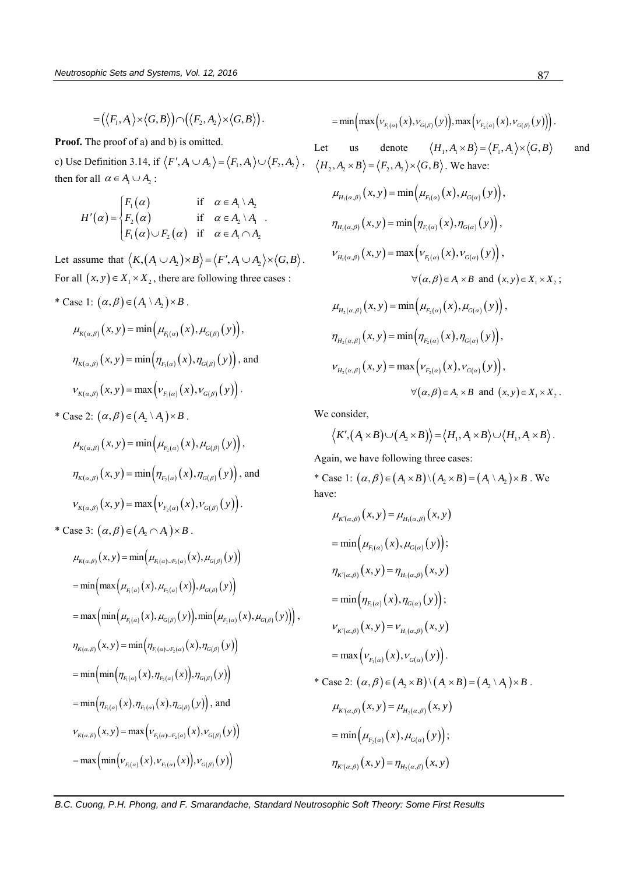$$
= (\langle F_1, A_1 \rangle \times \langle G, B \rangle) \cap (\langle F_2, A_2 \rangle \times \langle G, B \rangle).
$$

**Proof.** The proof of a) and b) is omitted.

c) Use Definition 3.14, if  $\langle F', A_1 \cup A_2 \rangle = \langle F_1, A_1 \rangle \cup \langle F_2, A_2 \rangle$ ,  $\langle H_2, A_2 \times B \rangle = \langle F_2, A_2 \rangle \times \langle G, B \rangle$ . We have: then for all  $\alpha \in A_1 \cup A_2$ :

$$
H'(\alpha) = \begin{cases} F_1(\alpha) & \text{if } \alpha \in A_1 \setminus A_2 \\ F_2(\alpha) & \text{if } \alpha \in A_2 \setminus A_1 \\ F_1(\alpha) \cup F_2(\alpha) & \text{if } \alpha \in A_1 \cap A_2 \end{cases}
$$

Let assume that  $\langle K, (A_1 \cup A_2) \times B \rangle = \langle F', A_1 \cup A_2 \rangle \times \langle G, B \rangle$ . For all  $(x, y) \in X_1 \times X_2$ , there are following three cases :

\* Case 1:  $(\alpha, \beta) \in (A_1 \setminus A_2) \times B$ .

$$
\mu_{K(\alpha,\beta)}(x, y) = \min(\mu_{F_1(\alpha)}(x), \mu_{G(\beta)}(y)),
$$
  

$$
\eta_{K(\alpha,\beta)}(x, y) = \min(\eta_{F_1(\alpha)}(x), \eta_{G(\beta)}(y)),
$$
 and  

$$
\nu_{K(\alpha,\beta)}(x, y) = \max(\nu_{F_1(\alpha)}(x), \nu_{G(\beta)}(y)).
$$

\* Case 2:  $(\alpha, \beta) \in (A_2 \setminus A_1) \times B$ .

$$
\mu_{K(\alpha,\beta)}(x, y) = \min(\mu_{F_2(\alpha)}(x), \mu_{G(\beta)}(y)),
$$
  

$$
\eta_{K(\alpha,\beta)}(x, y) = \min(\eta_{F_2(\alpha)}(x), \eta_{G(\beta)}(y)), \text{ and}
$$
  

$$
\nu_{K(\alpha,\beta)}(x, y) = \max(\nu_{F_2(\alpha)}(x), \nu_{G(\beta)}(y)).
$$

\* Case 3:  $(\alpha, \beta) \in (A_2 \cap A_1) \times B$ .

$$
\mu_{K(\alpha,\beta)}(x, y) = \min(\mu_{F_1(\alpha)\cup F_2(\alpha)}(x), \mu_{G(\beta)}(y))
$$
\n
$$
= \min(\max(\mu_{F_1(\alpha)}(x), \mu_{F_2(\alpha)}(x)), \mu_{G(\beta)}(y))
$$
\n
$$
= \max(\min(\mu_{F_1(\alpha)}(x), \mu_{G(\beta)}(y)), \min(\mu_{F_2(\alpha)}(x), \mu_{G(\beta)}(y))),
$$
\n
$$
\eta_{K(\alpha,\beta)}(x, y) = \min(\eta_{F_1(\alpha)\cup F_2(\alpha)}(x), \eta_{G(\beta)}(y))
$$
\n
$$
= \min(\min(\eta_{F_1(\alpha)}(x), \eta_{F_2(\alpha)}(x)), \eta_{G(\beta)}(y))
$$
\n
$$
= \min(\eta_{F_1(\alpha)}(x), \eta_{F_2(\alpha)}(x), \eta_{G(\beta)}(y)),
$$
 and\n
$$
\nu_{K(\alpha,\beta)}(x, y) = \max(\nu_{F_1(\alpha)\cup F_2(\alpha)}(x), \nu_{G(\beta)}(y))
$$
\n
$$
= \max(\min(\nu_{F_1(\alpha)}(x), \nu_{F_2(\alpha)}(x)), \nu_{G(\beta)}(y))
$$

$$
= \min\left(\max\left(\nu_{F_1(\alpha)}(x),\nu_{G(\beta)}(y)\right),\max\left(\nu_{F_2(\alpha)}(x),\nu_{G(\beta)}(y)\right)\right).
$$

Let us denote  $\langle H_1, A_1 \times B \rangle = \langle F_1, A_1 \rangle \times \langle G, B \rangle$ and

$$
\mu_{H_{1}(\alpha,\beta)}(x, y) = \min(\mu_{F_{1}(\alpha)}(x), \mu_{G(\alpha)}(y)),
$$
\n
$$
\eta_{H_{1}(\alpha,\beta)}(x, y) = \min(\eta_{F_{1}(\alpha)}(x), \eta_{G(\alpha)}(y)),
$$
\n
$$
V_{H_{1}(\alpha,\beta)}(x, y) = \max(V_{F_{1}(\alpha)}(x), V_{G(\alpha)}(y)),
$$
\n
$$
\forall (\alpha, \beta) \in A_{1} \times B \text{ and } (x, y) \in X_{1} \times X_{2};
$$
\n
$$
\mu_{H_{2}(\alpha,\beta)}(x, y) = \min(\mu_{F_{2}(\alpha)}(x), \mu_{G(\alpha)}(y)),
$$
\n
$$
\eta_{H_{2}(\alpha,\beta)}(x, y) = \min(\eta_{F_{2}(\alpha)}(x), \eta_{G(\alpha)}(y)),
$$
\n
$$
V_{H_{2}(\alpha,\beta)}(x, y) = \max(V_{F_{2}(\alpha)}(x), V_{G(\alpha)}(y)),
$$
\n
$$
\forall (\alpha, \beta) \in A_{2} \times B \text{ and } (x, y) \in X_{1} \times X_{2}.
$$

We consider,

consider,  

$$
\langle K', (A_1 \times B) \cup (A_2 \times B) \rangle = \langle H_1, A_1 \times B \rangle \cup \langle H_1, A_1 \times B \rangle
$$
.

Again, we have following three cases:

Again, we have following three cases:<br>\* Case 1:  $(\alpha, \beta) \in (A_1 \times B) \setminus (A_2 \times B) = (A_1 \setminus A_2) \times B$ . We have:

$$
\mu_{K'(\alpha,\beta)}(x, y) = \mu_{H_1(\alpha,\beta)}(x, y)
$$
\n
$$
= \min(\mu_{F_1(\alpha)}(x), \mu_{G(\alpha)}(y));
$$
\n
$$
\eta_{K'(\alpha,\beta)}(x, y) = \eta_{H_1(\alpha,\beta)}(x, y)
$$
\n
$$
= \min(\eta_{F_1(\alpha)}(x), \eta_{G(\alpha)}(y));
$$
\n
$$
V_{K'(\alpha,\beta)}(x, y) = V_{H_1(\alpha,\beta)}(x, y)
$$
\n
$$
= \max(V_{F_1(\alpha)}(x), V_{G(\alpha)}(y)).
$$
\n\* Case 2:  $(\alpha, \beta) \in (A_2 \times B) \setminus (A_1 \times B) = (A_2 \setminus A_1) \times B$ .  
\n
$$
\mu_{K'(\alpha,\beta)}(x, y) = \mu_{H_2(\alpha,\beta)}(x, y)
$$
\n
$$
= \min(\mu_{F_2(\alpha)}(x), \mu_{G(\alpha)}(y));
$$
\n
$$
\eta_{K'(\alpha,\beta)}(x, y) = \eta_{H_2(\alpha,\beta)}(x, y)
$$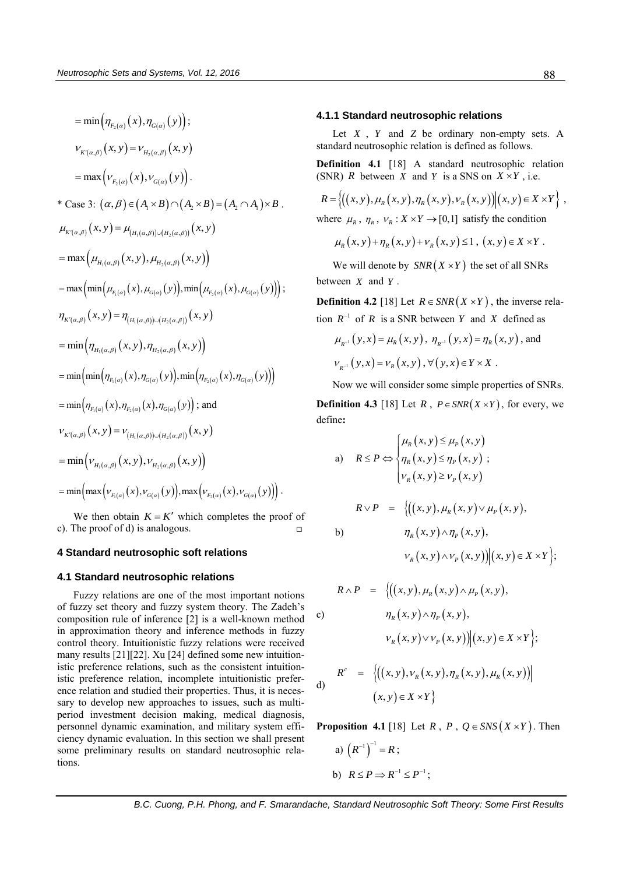$$
= min(\eta_{F_2(\alpha)}(x), \eta_{G(\alpha)}(y));
$$
\n
$$
\nu_{K'(\alpha,\beta)}(x, y) = \nu_{H_2(\alpha,\beta)}(x, y)
$$
\n
$$
= max(\nu_{F_2(\alpha)}(x), \nu_{G(\alpha)}(y)).
$$
\n\* Case 3:  $(\alpha, \beta) \in (A_1 \times B) \cap (A_2 \times B) = (A_2 \cap A_1) \times B$ .  
\n
$$
\mu_{K'(\alpha,\beta)}(x, y) = \mu_{(H_1(\alpha,\beta)) \cup (H_2(\alpha,\beta))}(x, y)
$$
\n
$$
= max(\mu_{H_1(\alpha,\beta)}(x, y), \mu_{H_2(\alpha,\beta)}(x, y))
$$
\n
$$
= max(\min(\mu_{F_1(\alpha)}(x), \mu_{G(\alpha)}(y)), min(\mu_{F_2(\alpha)}(x), \mu_{G(\alpha)}(y)));
$$
\n
$$
\eta_{K'(\alpha,\beta)}(x, y) = \eta_{(H_1(\alpha,\beta)) \cup (H_2(\alpha,\beta))}(x, y)
$$
\n
$$
= min(\eta_{H_1(\alpha,\beta)}(x, y), \eta_{H_2(\alpha,\beta)}(x, y))
$$
\n
$$
= min(\min(\eta_{F_1(\alpha)}(x), \eta_{G(\alpha)}(y)), min(\eta_{F_2(\alpha)}(x), \eta_{G(\alpha)}(y))])
$$
\n
$$
= min(\eta_{F_1(\alpha)}(x), \eta_{F_2(\alpha)}(x), \eta_{G(\alpha)}(y));
$$
 and\n
$$
\nu_{K'(\alpha,\beta)}(x, y) = \nu_{(H_1(\alpha,\beta)) \cup (H_2(\alpha,\beta))}(x, y)
$$
\n
$$
= min(\nu_{H_1(\alpha,\beta)}(x, y), \nu_{H_2(\alpha,\beta)}(x, y))
$$
\n
$$
= min(\max(\nu_{F_1(\alpha)}(x), \nu_{G(\alpha)}(y)), max(\nu_{F_2(\alpha)}(x), \nu_{G(\alpha)}(y))).
$$

We then obtain  $K = K'$  which completes the proof of c). The proof of d) is analogous.  $\Box$ 

## **4 Standard neutrosophic soft relations**

#### **4.1 Standard neutrosophic relations**

Fuzzy relations are one of the most important notions of fuzzy set theory and fuzzy system theory. The Zadeh's composition rule of inference [\[2\]](#page-12-1) is a well-known method in approximation theory and inference methods in fuzzy control theory. Intuitionistic fuzzy relations were received many results [\[21\]\[22\].](#page-12-24) Xu [\[24\]](#page-12-25) defined some new intuitionistic preference relations, such as the consistent intuitionistic preference relation, incomplete intuitionistic preference relation and studied their properties. Thus, it is necessary to develop new approaches to issues, such as multiperiod investment decision making, medical diagnosis, personnel dynamic examination, and military system efficiency dynamic evaluation. In this section we shall present some preliminary results on standard neutrosophic relations.

#### **4.1.1 Standard neutrosophic relations**

Let  $X$ ,  $Y$  and  $Z$  be ordinary non-empty sets. A standard neutrosophic relation is defined as follows.

**Definition 4.1** [\[18\]](#page-12-21) A standard neutrosophic relation

(SNR) R between X and Y is a SNS on 
$$
X \times Y
$$
, i.e.  
\n
$$
R = \left\{ \left( (x, y), \mu_R(x, y), \eta_R(x, y), \nu_R(x, y) \right) \middle| (x, y) \in X \times Y \right\},
$$
\nwhere  $\mu_R$ ,  $\eta_R$ ,  $\nu_R$ :  $X \times Y \rightarrow [0,1]$  satisfy the condition

$$
\mu_R(x, y) + \eta_R(x, y) + \nu_R(x, y) \le 1, (x, y) \in X \times Y
$$
.

We will denote by  $SNR(X \times Y)$  the set of all SNRs between *X* and *Y* .

**Definition 4.2** [\[18\]](#page-12-21) Let  $R \in SNR(X \times Y)$ , the inverse relation  $R^{-1}$  of R is a SNR between Y and X defined as

$$
\mu_{R^{-1}}(y, x) = \mu_R(x, y), \eta_{R^{-1}}(y, x) = \eta_R(x, y), \text{ and}
$$
  
\n $\nu_{R^{-1}}(y, x) = \nu_R(x, y), \forall (y, x) \in Y \times X.$ 

Now we will consider some simple properties of SNRs.

**Definition 4.3** [\[18\]](#page-12-21) Let  $R$ ,  $P \in SNR(X \times Y)$ , for every, we define**:**

a) 
$$
R \le P \Leftrightarrow \begin{cases} \mu_R(x, y) \le \mu_P(x, y) \\ \eta_R(x, y) \le \eta_P(x, y) \\ \nu_R(x, y) \ge \nu_P(x, y) \end{cases}
$$

$$
R \vee P = \{((x, y), \mu_R(x, y) \vee \mu_P(x, y),
$$
  
b)
$$
\eta_R(x, y) \wedge \eta_P(x, y),
$$

$$
\nu_R(x, y) \wedge \nu_P(x, y)) | (x, y) \in X \times Y \};
$$

$$
R \wedge P = \{((x, y), \mu_R(x, y) \wedge \mu_P(x, y),
$$
  
\nc)  
\n
$$
\eta_R(x, y) \wedge \eta_P(x, y),
$$
  
\n
$$
v_R(x, y) \vee v_P(x, y)) | (x, y) \in X \times Y \};
$$
  
\nd)  
\n
$$
R^c = \{((x, y), v_R(x, y), \eta_R(x, y), \mu_R(x, y)) | (x, y) \in X \times Y \}
$$

**Proposition 4.1** [\[18\]](#page-12-21) Let  $R$ ,  $P$ ,  $Q \in SNS(X \times Y)$ . Then a)  $(R^{-1})^{-1} = R$ ; b)  $R \leq P \Rightarrow R^{-1} \leq P^{-1}$ ;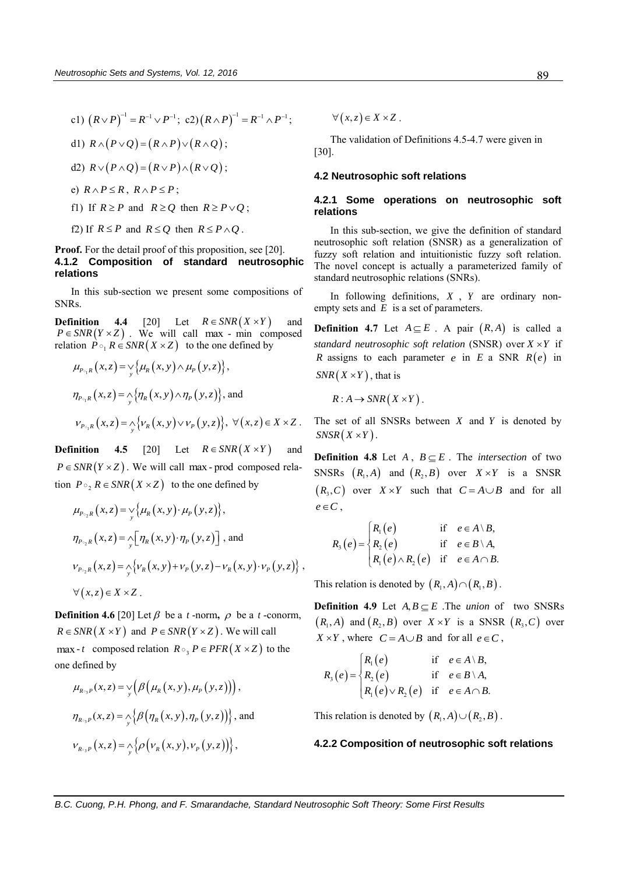\n- \n
$$
(R \vee P)^{-1} = R^{-1} \vee P^{-1}; \quad \text{c2} \vee (R \wedge P)^{-1} = R^{-1} \wedge P^{-1};
$$
\n
\n- \n
$$
R \wedge (P \vee Q) = (R \wedge P) \vee (R \wedge Q);
$$
\n
\n- \n
$$
R \vee (P \wedge Q) = (R \vee P) \wedge (R \vee Q);
$$
\n
\n- \n
$$
R \wedge P \leq R, \quad R \wedge P \leq P;
$$
\n
\n- \n
$$
R \geq P \quad \text{and} \quad R \geq Q \quad \text{then} \quad R \geq P \vee Q;
$$
\n
\n

f2) If  $R \leq P$  and  $R \leq Q$  then  $R \leq P \wedge Q$ .

## **Proof.** For the detail proof of this proposition, see [\[20\].](#page-12-26) **4.1.2 Composition of standard neutrosophic relations**

In this sub-section we present some compositions of SNRs.

**Definition** 4.4 [\[20\]](#page-12-26) Let  $R \in SNR(X \times Y)$ and  $P \in SNR(Y \times Z)$ . We will call max - min composed relation  $P \circ_1 R \in SNR(X \times Z)$  to the one defined by<br>  $\mu_{P \circ_1 R}(x, z) = \sqrt{\mu_R(x, y) \wedge \mu_P(y, z)}$ ,

$$
\mu_{P_{\circ_1}R}(x,z) = \mathop{\vee}\limits_{y} {\mu_R(x,y) \wedge \mu_P(y,z)},
$$
  
\n
$$
\eta_{P_{\circ_1}R}(x,z) = \mathop{\wedge}\limits_{y} {\eta_R(x,y) \wedge \eta_P(y,z)}, \text{ and}
$$
  
\n
$$
V_{P_{\circ_1}R}(x,z) = \mathop{\wedge}\limits_{y} {\{\nu_R(x,y) \vee \nu_P(y,z)\}, \ \forall (x,z) \in X \times Z}.
$$

**Definition 4.5** [20] Let  $R \in SNR (X \times Y)$ and  $P \in SNR(Y \times Z)$ . We will call max - prod composed relation  $P \circ_{2} R \in SNR(X \times Z)$  to the one defined by

$$
\mu_{P_{\circ_2}R}(x,z) = \sqrt{\mu_R(x,y) \cdot \mu_P(y,z)}, \qquad e \in C
$$
\n
$$
\eta_{P_{\circ_2}R}(x,z) = \sqrt{\eta_R(x,y) \cdot \eta_P(y,z)}, \text{ and }
$$
\n
$$
\nu_{P_{\circ_2}R}(x,z) = \sqrt{\nu_R(x,y) + \nu_P(y,z) - \nu_R(x,y) \cdot \nu_P(y,z)} ,
$$
\n
$$
\forall (x,z) \in X \times Z .
$$
\nThis

**Definition 4.6** [\[20\]](#page-12-26) Let  $\beta$  be a *t*-norm,  $\rho$  be a *t*-conorm,  $R \in SNR(X \times Y)$  and  $P \in SNR(Y \times Z)$ . We will call max - *t* composed relation  $R \circ B$   $P \in PFR(X \times Z)$  to the one defined by

defined by  
\n
$$
\mu_{R\circ_3 P}(x, z) = \mathop{\vee}\limits_{y} \Bigl( \beta \Bigl( \mu_R(x, y), \mu_P(y, z) \Bigr) \Bigr),
$$
\n
$$
\eta_{R\circ_3 P}(x, z) = \mathop{\wedge}\limits_{y} \Bigl\{ \beta \Bigl( \eta_R(x, y), \eta_P(y, z) \Bigr) \Bigr\},
$$
and  
\n
$$
V_{R\circ_3 P}(x, z) = \mathop{\wedge}\limits_{y} \Bigl\{ \rho \Bigl( V_R(x, y), V_P(y, z) \Bigr) \Bigr\},
$$

 $\forall (x, z) \in X \times Z$ .

The validation of Definitions 4.5-4.7 were given in [\[30\].](#page-12-27)

### **4.2 Neutrosophic soft relations**

### **4.2.1 Some operations on neutrosophic soft relations**

In this sub-section, we give the definition of standard neutrosophic soft relation (SNSR) as a generalization of fuzzy soft relation and intuitionistic fuzzy soft relation. The novel concept is actually a parameterized family of standard neutrosophic relations (SNRs).

In following definitions, *X* , *Y* are ordinary nonempty sets and  $E$  is a set of parameters.

**Definition 4.7** Let  $A \subseteq E$ . A pair  $(R, A)$  is called a standard neutrosophic soft relation (SNSR) over  $X \times Y$  if *R* assigns to each parameter *e* in  $E$  a SNR  $R(e)$  in  $SNR(X \times Y)$ , that is

$$
R: A \to SNR(X \times Y).
$$

The set of all SNSRs between  $X$  and  $Y$  is denoted by  $SNSR(X \times Y)$ .

**Definition 4.8** Let  $A$ ,  $B \subseteq E$ . The *intersection* of two SNSRs  $(R_1, A)$  and  $(R_2, B)$  over  $X \times Y$  is a SNSR  $(R_3, C)$  over  $X \times Y$  such that  $C = A \cup B$  and for all  $e \in C$ .

$$
R_{3}(e) = \begin{cases} R_{1}(e) & \text{if } e \in A \setminus B, \\ R_{2}(e) & \text{if } e \in B \setminus A, \\ R_{1}(e) \wedge R_{2}(e) & \text{if } e \in A \cap B. \end{cases}
$$

This relation is denoted by  $(R_1, A) \cap (R_1, B)$ .

**Definition 4.9** Let  $A, B \subseteq E$ . The *union* of two SNSRs  $(R_1, A)$  and  $(R_2, B)$  over  $X \times Y$  is a SNSR  $(R_3, C)$  over

$$
X \times Y, \text{ where } C = A \cup B \text{ and for all } e \in C,
$$
  

$$
R_3(e) = \begin{cases} R_1(e) & \text{if } e \in A \setminus B, \\ R_2(e) & \text{if } e \in B \setminus A, \\ R_1(e) \vee R_2(e) & \text{if } e \in A \cap B. \end{cases}
$$

This relation is denoted by  $(R_1, A) \cup (R_2, B)$ .

#### **4.2.2 Composition of neutrosophic soft relations**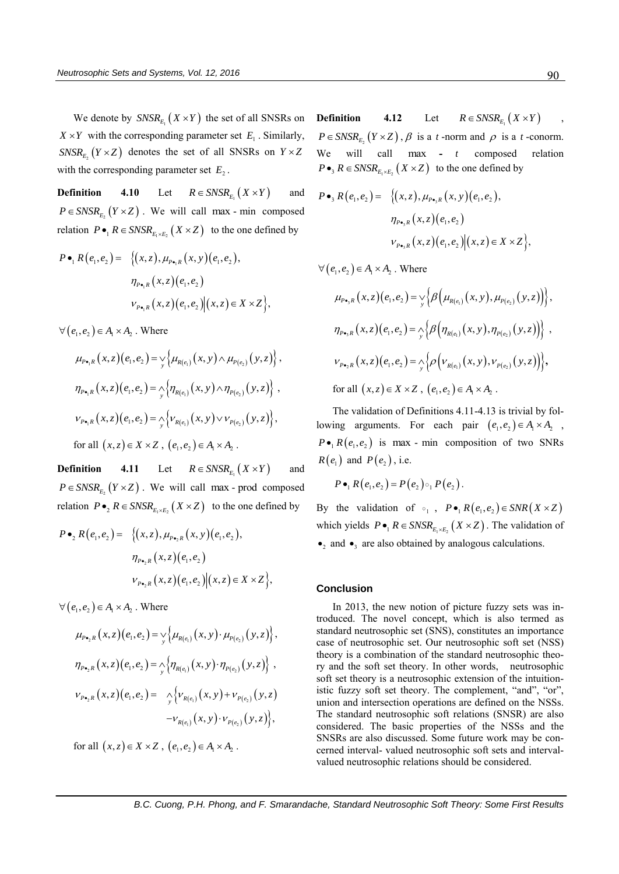We denote by  $\mathit{SNSR}_{E_1}(X \times Y)$  the set of all SNSRs on  $X \times Y$  with the corresponding parameter set  $E_1$ . Similarly,  $SNSR_{E_2}(Y \times Z)$  denotes the set of all SNSRs on  $Y \times Z$ with the corresponding parameter set  $E_2$ .

**Definition 4.10** Let  $R \in \text{SNSR}_{E_1} (X \times Y)$  and  $P \in \text{SNSR}_{E_2} (Y \times Z)$ . We will call max - min composed relation  $P \bullet_1 R \in SNSR_{E_1 \times E_2} (X \times Z)$  to the one defined by<br>  $P \bullet_1 R(e_1, e_2) = \{ (x, z), \mu_{P \bullet_1 R} (x, y) (e_1, e_2), \}$ 

$$
P \bullet_1 R(e_1, e_2) = \{ (x, z), \mu_{P \bullet_1 R}(x, y)(e_1, e_2),
$$

$$
\eta_{P \bullet_1 R}(x, z)(e_1, e_2)
$$

$$
V_{P \bullet_1 R}(x, z)(e_1, e_2) | (x, z) \in X \times Z \},
$$

 $\forall (e_1, e_2) \in A_1 \times A_2$ . Where

$$
e_1, e_2 \in A_1 \times A_2. \text{ where}
$$
\n
$$
\mu_{P\bullet_1 R}(x, z)(e_1, e_2) = \sqrt{\mu_{R(e_1)}(x, y) \wedge \mu_{P(e_2)}(y, z)},
$$
\n
$$
\eta_{P\bullet_1 R}(x, z)(e_1, e_2) = \sqrt{\eta_{R(e_1)}(x, y) \wedge \eta_{P(e_2)}(y, z)},
$$
\n
$$
V_{P\bullet_1 R}(x, z)(e_1, e_2) = \sqrt{\nu_{R(e_1)}(x, y) \vee \nu_{P(e_2)}(y, z)},
$$
\nfor all  $(x, z) \in X \times Z$ ,  $(e_1, e_2) \in A_1 \times A_2$ .

**Definition 4.11** Let  $R \in \text{SNSR}_{E_1} (X \times Y)$  and  $P \in \text{SNSR}_{E_2} (Y \times Z)$ . We will call max - prod composed relation  $P \bullet_2 R \in SNSR_{E_1 \times E_2} (X \times Z)$  to the one defined by<br>  $P \bullet_2 R(e_1, e_2) = \{ (x, z), \mu_{P \bullet_2 R} (x, y)(e_1, e_2), \}$ 

$$
P \bullet_2 R(e_1, e_2) = \{ (x, z), \mu_{P \bullet_2 R}(x, y)(e_1, e_2),
$$
  
\n
$$
\eta_{P \bullet_2 R}(x, z)(e_1, e_2)
$$
  
\n
$$
V_{P \bullet_2 R}(x, z)(e_1, e_2) | (x, z) \in X \times Z \},
$$

 $\forall (e_1, e_2) \in A_1 \times A_2$ . Where

$$
\mu_{P_{\bullet_{2}R}}(x, z)(e_{1}, e_{2}) = \sqrt{\mu_{R(e_{1})}(x, y) \cdot \mu_{P(e_{2})}(y, z)},
$$
  
\n
$$
\eta_{P_{\bullet_{2}R}}(x, z)(e_{1}, e_{2}) = \sqrt{\eta_{R(e_{1})}(x, y) \cdot \eta_{P(e_{2})}(y, z)},
$$
  
\n
$$
\nu_{P_{\bullet_{2}R}}(x, z)(e_{1}, e_{2}) = \sqrt{\nu_{R(e_{1})}(x, y) \cdot \eta_{P(e_{2})}(y, z)},
$$
  
\n
$$
\nu_{P_{\bullet_{2}R}}(x, z)(e_{1}, e_{2}) = \sqrt{\nu_{R(e_{1})}(x, y) + \nu_{P(e_{2})}(y, z)},
$$
  
\n
$$
-\nu_{R(e_{1})}(x, y) \cdot \nu_{P(e_{2})}(y, z),
$$

for all  $(x, z) \in X \times Z$ ,  $(e_1, e_2) \in A_1 \times A_2$ .

**Definition 4.12** Let  $R \in \text{SNSR}_{E_1} (X \times Y)$ ,  $P \in \text{SNSR}_{E_2}(Y \times Z)$ ,  $\beta$  is a *t*-norm and  $\rho$  is a *t*-conorm. We will call max **-** *t* composed relation  $P \bullet_3 R \in \text{SNSR}_{E_1 \times E_2} (X \times Z)$  to the one defined by<br>  $P \bullet_3 R(e_1, e_2) = \{ (x, z), \mu_{P \bullet_3 R} (x, y)(e_1, e_2), \}$ 

$$
P \bullet_3 R(e_1, e_2) = \{ (x, z), \mu_{P \bullet_3 R}(x, y)(e_1, e_2),
$$

$$
\eta_{P \bullet_3 R}(x, z)(e_1, e_2)
$$

$$
V_{P \bullet_3 R}(x, z)(e_1, e_2) | (x, z) \in X \times Z \},
$$

 $\forall (e_1, e_2) \in A_1 \times A_2$ . Where

$$
(e_1, e_2) \in A_1 \times A_2. \text{ Where}
$$
\n
$$
\mu_{P_{\bullet_3}R}(x, z)(e_1, e_2) = \sqrt{\beta \left(\mu_{R(e_1)}(x, y), \mu_{P(e_2)}(y, z)\right)},
$$
\n
$$
\eta_{P_{\bullet_3}R}(x, z)(e_1, e_2) = \sqrt{\beta \left(\eta_{R(e_1)}(x, y), \eta_{P(e_2)}(y, z)\right)} ,
$$
\n
$$
v_{P_{\bullet_2}R}(x, z)(e_1, e_2) = \sqrt{\beta \left(\nu_{R(e_1)}(x, y), \nu_{P(e_2)}(y, z)\right)} ,
$$
\nfor all  $(x, z) \in X \times Z$ ,  $(e_1, e_2) \in A_1 \times A_2$ .

The validation of Definitions 4.11-4.13 is trivial by following arguments. For each pair  $(e_1, e_2) \in A_1 \times A_2$ ,  $P \bullet R(e_1, e_2)$  is max - min composition of two SNRs  $R(e_1)$  and  $P(e_2)$ , i.e.

$$
P\bullet_1 R(e_1,e_2) = P(e_2) \circ_1 P(e_2).
$$

By the validation of  $\circ_1$ ,  $P \bullet_1 R(e_1, e_2) \in SNR(X \times Z)$ which yields  $P \bullet_1 R \in SNSR_{E_1 \times E_2} (X \times Z)$ . The validation of  $\bullet_2$  and  $\bullet_3$  are also obtained by analogous calculations.

## **Conclusion**

In 2013, the new notion of picture fuzzy sets was introduced. The novel concept, which is also termed as standard neutrosophic set (SNS), constitutes an importance case of neutrosophic set. Our neutrosophic soft set (NSS) theory is a combination of the standard neutrosophic theory and the soft set theory. In other words, neutrosophic soft set theory is a neutrosophic extension of the intuitionistic fuzzy soft set theory. The complement, "and", "or", union and intersection operations are defined on the NSSs. The standard neutrosophic soft relations (SNSR) are also considered. The basic properties of the NSSs and the SNSRs are also discussed. Some future work may be concerned interval- valued neutrosophic soft sets and intervalvalued neutrosophic relations should be considered.